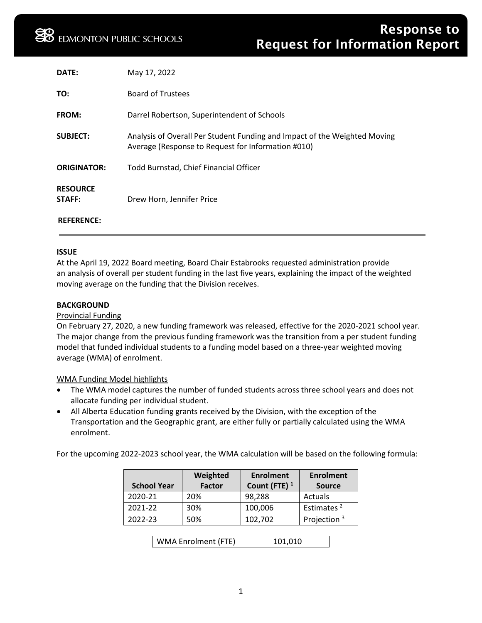| DATE:                     | May 17, 2022                                                                                                                    |
|---------------------------|---------------------------------------------------------------------------------------------------------------------------------|
| TO:                       | <b>Board of Trustees</b>                                                                                                        |
| <b>FROM:</b>              | Darrel Robertson, Superintendent of Schools                                                                                     |
| <b>SUBJECT:</b>           | Analysis of Overall Per Student Funding and Impact of the Weighted Moving<br>Average (Response to Request for Information #010) |
| <b>ORIGINATOR:</b>        | Todd Burnstad, Chief Financial Officer                                                                                          |
| <b>RESOURCE</b><br>STAFF: | Drew Horn, Jennifer Price                                                                                                       |
| <b>REFERENCE:</b>         |                                                                                                                                 |

### **ISSUE**

At the April 19, 2022 Board meeting, Board Chair Estabrooks requested administration provide an analysis of overall per student funding in the last five years, explaining the impact of the weighted moving average on the funding that the Division receives.

### **BACKGROUND**

### Provincial Funding

On February 27, 2020, a new funding framework was released, effective for the 2020-2021 school year. The major change from the previous funding framework was the transition from a per student funding model that funded individual students to a funding model based on a three-year weighted moving average (WMA) of enrolment.

### WMA Funding Model highlights

- The WMA model captures the number of funded students across three school years and does not allocate funding per individual student.
- All Alberta Education funding grants received by the Division, with the exception of the Transportation and the Geographic grant, are either fully or partially calculated using the WMA enrolment.

For the upcoming 2022-2023 school year, the WMA calculation will be based on the following formula:

|                    | Weighted      | <b>Enrolment</b> | <b>Enrolment</b>        |
|--------------------|---------------|------------------|-------------------------|
| <b>School Year</b> | <b>Factor</b> | Count (FTE) $1$  | <b>Source</b>           |
| 2020-21            | 20%           | 98,288           | Actuals                 |
| 2021-22            | 30%           | 100,006          | Estimates <sup>2</sup>  |
| 2022-23            | 50%           | 102,702          | Projection <sup>3</sup> |
|                    |               |                  |                         |

WMA Enrolment (FTE) | 101,010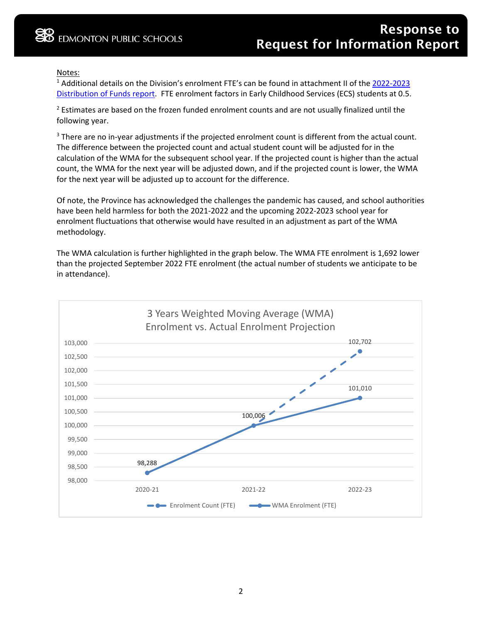## Notes:

<sup>1</sup> Additional details on the Division's enrolment FTE's can be found in attachment II of the 2022-2023 [Distribution of Funds report.](https://www.epsb.ca/media/epsb/ourdistrict/boardoftrustees/boardmeetings/2021-22/april192022/03-2022-2023DistributionofFunds.pdf) FTE enrolment factors in Early Childhood Services (ECS) students at 0.5.

 $<sup>2</sup>$  Estimates are based on the frozen funded enrolment counts and are not usually finalized until the</sup> following year.

<sup>3</sup> There are no in-year adjustments if the projected enrolment count is different from the actual count. The difference between the projected count and actual student count will be adjusted for in the calculation of the WMA for the subsequent school year. If the projected count is higher than the actual count, the WMA for the next year will be adjusted down, and if the projected count is lower, the WMA for the next year will be adjusted up to account for the difference.

Of note, the Province has acknowledged the challenges the pandemic has caused, and school authorities have been held harmless for both the 2021-2022 and the upcoming 2022-2023 school year for enrolment fluctuations that otherwise would have resulted in an adjustment as part of the WMA methodology.

The WMA calculation is further highlighted in the graph below. The WMA FTE enrolment is 1,692 lower than the projected September 2022 FTE enrolment (the actual number of students we anticipate to be in attendance).

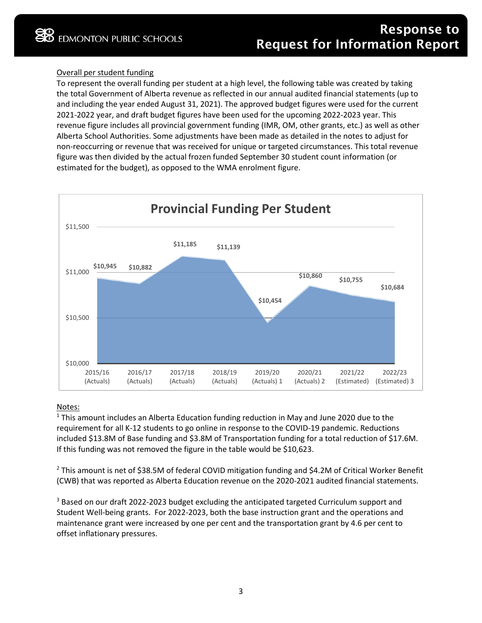## Overall per student funding

To represent the overall funding per student at a high level, the following table was created by taking the total Government of Alberta revenue as reflected in our annual audited financial statements (up to and including the year ended August 31, 2021). The approved budget figures were used for the current 2021-2022 year, and draft budget figures have been used for the upcoming 2022-2023 year. This revenue figure includes all provincial government funding (IMR, OM, other grants, etc.) as well as other Alberta School Authorities. Some adjustments have been made as detailed in the notes to adjust for non-reoccurring or revenue that was received for unique or targeted circumstances. This total revenue figure was then divided by the actual frozen funded September 30 student count information (or estimated for the budget), as opposed to the WMA enrolment figure.



### Notes:

<sup>1</sup> This amount includes an Alberta Education funding reduction in May and June 2020 due to the requirement for all K-12 students to go online in response to the COVID-19 pandemic. Reductions included \$13.8M of Base funding and \$3.8M of Transportation funding for a total reduction of \$17.6M. If this funding was not removed the figure in the table would be \$10,623.

<sup>2</sup> This amount is net of \$38.5M of federal COVID mitigation funding and \$4.2M of Critical Worker Benefit (CWB) that was reported as Alberta Education revenue on the 2020-2021 audited financial statements.

<sup>3</sup> Based on our draft 2022-2023 budget excluding the anticipated targeted Curriculum support and Student Well-being grants. For 2022-2023, both the base instruction grant and the operations and maintenance grant were increased by one per cent and the transportation grant by 4.6 per cent to offset inflationary pressures.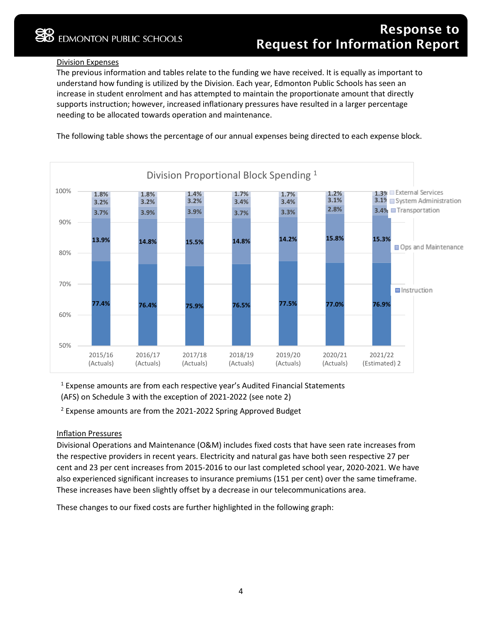# Division Expenses

The previous information and tables relate to the funding we have received. It is equally as important to understand how funding is utilized by the Division. Each year, Edmonton Public Schools has seen an increase in student enrolment and has attempted to maintain the proportionate amount that directly supports instruction; however, increased inflationary pressures have resulted in a larger percentage needing to be allocated towards operation and maintenance.

The following table shows the percentage of our annual expenses being directed to each expense block.



<sup>1</sup> Expense amounts are from each respective year's Audited Financial Statements (AFS) on Schedule 3 with the exception of 2021-2022 (see note 2)

 $2$  Expense amounts are from the 2021-2022 Spring Approved Budget

### Inflation Pressures

Divisional Operations and Maintenance (O&M) includes fixed costs that have seen rate increases from the respective providers in recent years. Electricity and natural gas have both seen respective 27 per cent and 23 per cent increases from 2015-2016 to our last completed school year, 2020-2021. We have also experienced significant increases to insurance premiums (151 per cent) over the same timeframe. These increases have been slightly offset by a decrease in our telecommunications area.

These changes to our fixed costs are further highlighted in the following graph: